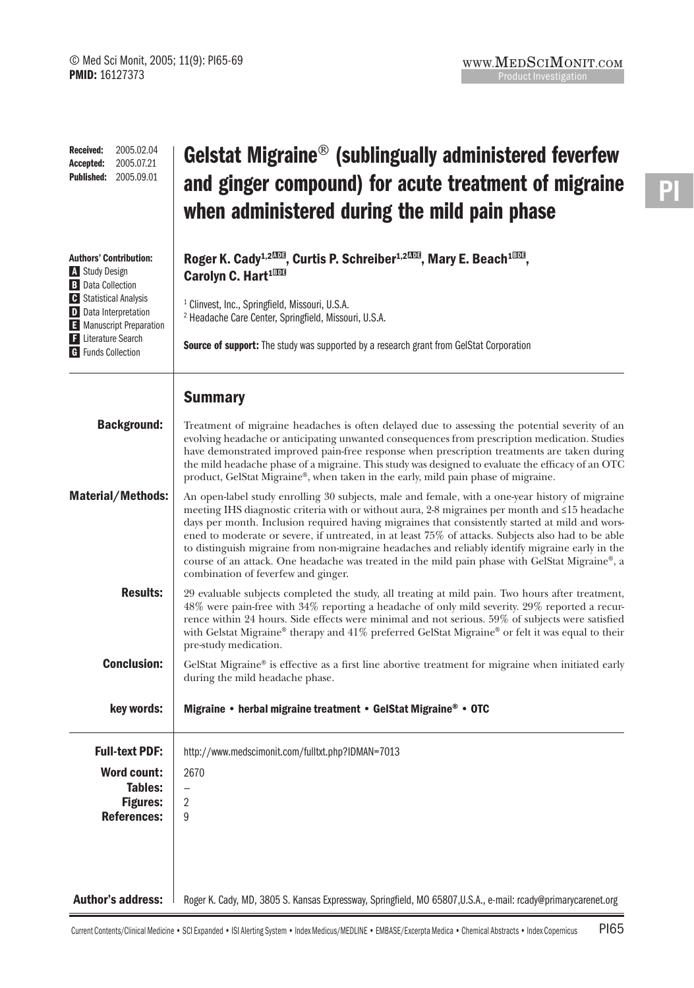| 2005.02.04<br><b>Received:</b><br>2005.07.21<br>Accepted:<br>2005.09.01<br><b>Published:</b>                                                                                                                                        | Gelstat Migraine <sup>®</sup> (sublingually administered feverfew<br>and ginger compound) for acute treatment of migraine<br>when administered during the mild pain phase                                                                                                                                                                                                                                                                                                                                                                                                                                                                              |
|-------------------------------------------------------------------------------------------------------------------------------------------------------------------------------------------------------------------------------------|--------------------------------------------------------------------------------------------------------------------------------------------------------------------------------------------------------------------------------------------------------------------------------------------------------------------------------------------------------------------------------------------------------------------------------------------------------------------------------------------------------------------------------------------------------------------------------------------------------------------------------------------------------|
| <b>Authors' Contribution:</b><br>A Study Design<br><b>B</b> Data Collection<br><b>C</b> Statistical Analysis<br><b>D</b> Data Interpretation<br>E Manuscript Preparation<br><b>F</b> Literature Search<br><b>G</b> Funds Collection | Roger K. Cady <sup>1,2003</sup> , Curtis P. Schreiber <sup>1,2003</sup> , Mary E. Beach <sup>1003</sup> ,<br>Carolyn C. Hart <sup>1000</sup><br><sup>1</sup> Clinvest, Inc., Springfield, Missouri, U.S.A.<br><sup>2</sup> Headache Care Center, Springfield, Missouri, U.S.A.<br><b>Source of support:</b> The study was supported by a research grant from GelStat Corporation                                                                                                                                                                                                                                                                       |
|                                                                                                                                                                                                                                     | <b>Summary</b>                                                                                                                                                                                                                                                                                                                                                                                                                                                                                                                                                                                                                                         |
| <b>Background:</b>                                                                                                                                                                                                                  | Treatment of migraine headaches is often delayed due to assessing the potential severity of an<br>evolving headache or anticipating unwanted consequences from prescription medication. Studies<br>have demonstrated improved pain-free response when prescription treatments are taken during<br>the mild headache phase of a migraine. This study was designed to evaluate the efficacy of an OTC<br>product, GelStat Migraine®, when taken in the early, mild pain phase of migraine.                                                                                                                                                               |
| <b>Material/Methods:</b>                                                                                                                                                                                                            | An open-label study enrolling 30 subjects, male and female, with a one-year history of migraine<br>meeting IHS diagnostic criteria with or without aura, 2-8 migraines per month and ≤15 headache<br>days per month. Inclusion required having migraines that consistently started at mild and wors-<br>ened to moderate or severe, if untreated, in at least 75% of attacks. Subjects also had to be able<br>to distinguish migraine from non-migraine headaches and reliably identify migraine early in the<br>course of an attack. One headache was treated in the mild pain phase with GelStat Migraine®, a<br>combination of feverfew and ginger. |
| <b>Results:</b>                                                                                                                                                                                                                     | 29 evaluable subjects completed the study, all treating at mild pain. Two hours after treatment,<br>48% were pain-free with 34% reporting a headache of only mild severity. 29% reported a recur-<br>rence within 24 hours. Side effects were minimal and not serious. 59% of subjects were satisfied<br>with Gelstat Migraine® therapy and 41% preferred GelStat Migraine® or felt it was equal to their<br>pre-study medication.                                                                                                                                                                                                                     |
| <b>Conclusion:</b>                                                                                                                                                                                                                  | GelStat Migraine® is effective as a first line abortive treatment for migraine when initiated early<br>during the mild headache phase.                                                                                                                                                                                                                                                                                                                                                                                                                                                                                                                 |
| key words:                                                                                                                                                                                                                          | Migraine • herbal migraine treatment • GelStat Migraine® • OTC                                                                                                                                                                                                                                                                                                                                                                                                                                                                                                                                                                                         |
| <b>Full-text PDF:</b>                                                                                                                                                                                                               | http://www.medscimonit.com/fulltxt.php?IDMAN=7013                                                                                                                                                                                                                                                                                                                                                                                                                                                                                                                                                                                                      |
| <b>Word count:</b><br><b>Tables:</b><br><b>Figures:</b><br><b>References:</b>                                                                                                                                                       | 2670<br>$\overline{\phantom{0}}$<br>$\overline{2}$<br>9                                                                                                                                                                                                                                                                                                                                                                                                                                                                                                                                                                                                |
| <b>Author's address:</b>                                                                                                                                                                                                            | Roger K. Cady, MD, 3805 S. Kansas Expressway, Springfield, MO 65807, U.S.A., e-mail: rcady@primarycarenet.org                                                                                                                                                                                                                                                                                                                                                                                                                                                                                                                                          |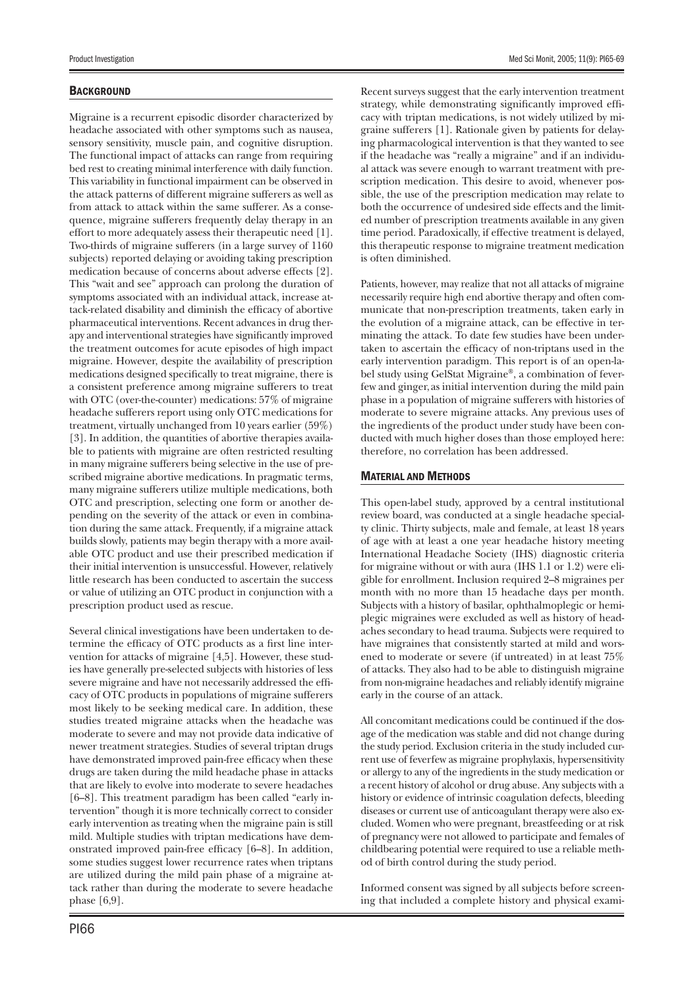## **BACKGROUND**

Migraine is a recurrent episodic disorder characterized by headache associated with other symptoms such as nausea, sensory sensitivity, muscle pain, and cognitive disruption. The functional impact of attacks can range from requiring bed rest to creating minimal interference with daily function. This variability in functional impairment can be observed in the attack patterns of different migraine sufferers as well as from attack to attack within the same sufferer. As a consequence, migraine sufferers frequently delay therapy in an effort to more adequately assess their therapeutic need [1]. Two-thirds of migraine sufferers (in a large survey of 1160 subjects) reported delaying or avoiding taking prescription medication because of concerns about adverse effects [2]. This "wait and see" approach can prolong the duration of symptoms associated with an individual attack, increase attack-related disability and diminish the efficacy of abortive pharmaceutical interventions. Recent advances in drug therapy and interventional strategies have significantly improved the treatment outcomes for acute episodes of high impact migraine. However, despite the availability of prescription medications designed specifically to treat migraine, there is a consistent preference among migraine sufferers to treat with OTC (over-the-counter) medications: 57% of migraine headache sufferers report using only OTC medications for treatment, virtually unchanged from 10 years earlier (59%) [3]. In addition, the quantities of abortive therapies available to patients with migraine are often restricted resulting in many migraine sufferers being selective in the use of prescribed migraine abortive medications. In pragmatic terms, many migraine sufferers utilize multiple medications, both OTC and prescription, selecting one form or another depending on the severity of the attack or even in combination during the same attack. Frequently, if a migraine attack builds slowly, patients may begin therapy with a more available OTC product and use their prescribed medication if their initial intervention is unsuccessful. However, relatively little research has been conducted to ascertain the success or value of utilizing an OTC product in conjunction with a prescription product used as rescue.

Several clinical investigations have been undertaken to determine the efficacy of OTC products as a first line intervention for attacks of migraine [4,5]. However, these studies have generally pre-selected subjects with histories of less severe migraine and have not necessarily addressed the efficacy of OTC products in populations of migraine sufferers most likely to be seeking medical care. In addition, these studies treated migraine attacks when the headache was moderate to severe and may not provide data indicative of newer treatment strategies. Studies of several triptan drugs have demonstrated improved pain-free efficacy when these drugs are taken during the mild headache phase in attacks that are likely to evolve into moderate to severe headaches [6–8]. This treatment paradigm has been called "early intervention" though it is more technically correct to consider early intervention as treating when the migraine pain is still mild. Multiple studies with triptan medications have demonstrated improved pain-free efficacy  $[6-8]$ . In addition, some studies suggest lower recurrence rates when triptans are utilized during the mild pain phase of a migraine attack rather than during the moderate to severe headache phase [6,9].

Recent surveys suggest that the early intervention treatment strategy, while demonstrating significantly improved efficacy with triptan medications, is not widely utilized by migraine sufferers [1]. Rationale given by patients for delaying pharmacological intervention is that they wanted to see if the headache was "really a migraine" and if an individual attack was severe enough to warrant treatment with prescription medication. This desire to avoid, whenever possible, the use of the prescription medication may relate to both the occurrence of undesired side effects and the limited number of prescription treatments available in any given time period. Paradoxically, if effective treatment is delayed, this therapeutic response to migraine treatment medication is often diminished.

Patients, however, may realize that not all attacks of migraine necessarily require high end abortive therapy and often communicate that non-prescription treatments, taken early in the evolution of a migraine attack, can be effective in terminating the attack. To date few studies have been undertaken to ascertain the efficacy of non-triptans used in the early intervention paradigm. This report is of an open-label study using GelStat Migraine®, a combination of feverfew and ginger, as initial intervention during the mild pain phase in a population of migraine sufferers with histories of moderate to severe migraine attacks. Any previous uses of the ingredients of the product under study have been conducted with much higher doses than those employed here: therefore, no correlation has been addressed.

### MATERIAL AND METHODS

This open-label study, approved by a central institutional review board, was conducted at a single headache specialty clinic. Thirty subjects, male and female, at least 18 years of age with at least a one year headache history meeting International Headache Society (IHS) diagnostic criteria for migraine without or with aura (IHS 1.1 or 1.2) were eligible for enrollment. Inclusion required 2–8 migraines per month with no more than 15 headache days per month. Subjects with a history of basilar, ophthalmoplegic or hemiplegic migraines were excluded as well as history of headaches secondary to head trauma. Subjects were required to have migraines that consistently started at mild and worsened to moderate or severe (if untreated) in at least 75% of attacks. They also had to be able to distinguish migraine from non-migraine headaches and reliably identify migraine early in the course of an attack.

All concomitant medications could be continued if the dosage of the medication was stable and did not change during the study period. Exclusion criteria in the study included current use of feverfew as migraine prophylaxis, hypersensitivity or allergy to any of the ingredients in the study medication or a recent history of alcohol or drug abuse. Any subjects with a history or evidence of intrinsic coagulation defects, bleeding diseases or current use of anticoagulant therapy were also excluded. Women who were pregnant, breastfeeding or at risk of pregnancy were not allowed to participate and females of childbearing potential were required to use a reliable method of birth control during the study period.

Informed consent was signed by all subjects before screening that included a complete history and physical exami-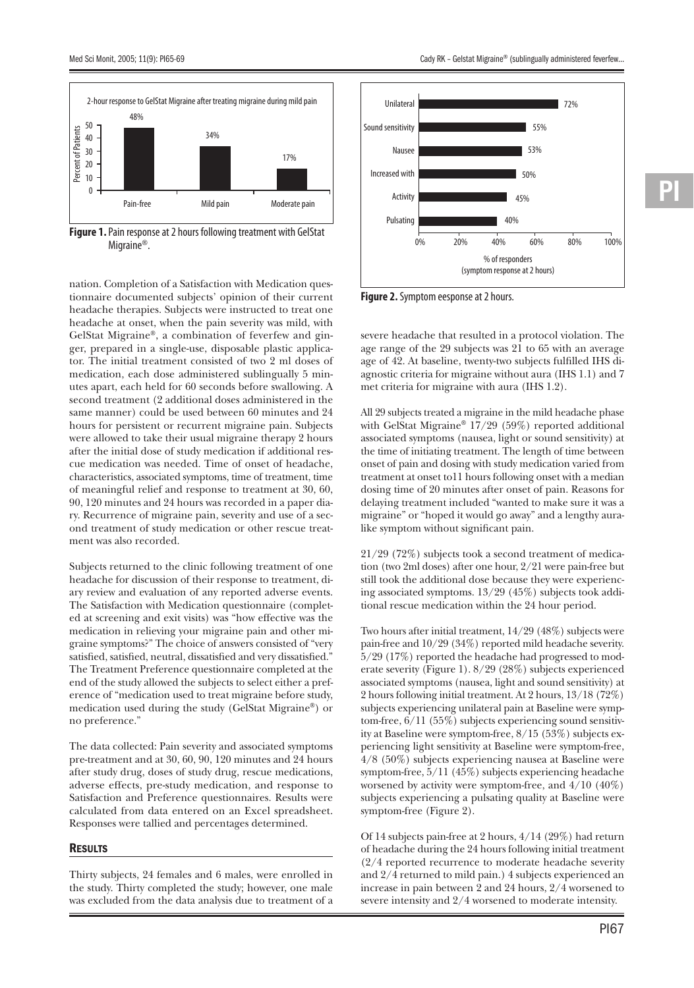

**Figure 1.** Pain response at 2 hours following treatment with GelStat Migraine<sup>®</sup>.

nation. Completion of a Satisfaction with Medication questionnaire documented subjects' opinion of their current headache therapies. Subjects were instructed to treat one headache at onset, when the pain severity was mild, with GelStat Migraine®, a combination of feverfew and ginger, prepared in a single-use, disposable plastic applicator. The initial treatment consisted of two 2 ml doses of medication, each dose administered sublingually 5 minutes apart, each held for 60 seconds before swallowing. A second treatment (2 additional doses administered in the same manner) could be used between 60 minutes and 24 hours for persistent or recurrent migraine pain. Subjects were allowed to take their usual migraine therapy 2 hours after the initial dose of study medication if additional rescue medication was needed. Time of onset of headache, characteristics, associated symptoms, time of treatment, time of meaningful relief and response to treatment at 30, 60, 90, 120 minutes and 24 hours was recorded in a paper diary. Recurrence of migraine pain, severity and use of a second treatment of study medication or other rescue treatment was also recorded.

Subjects returned to the clinic following treatment of one headache for discussion of their response to treatment, diary review and evaluation of any reported adverse events. The Satisfaction with Medication questionnaire (completed at screening and exit visits) was "how effective was the medication in relieving your migraine pain and other migraine symptoms?" The choice of answers consisted of "very satisfied, satisfied, neutral, dissatisfied and very dissatisfied." The Treatment Preference questionnaire completed at the end of the study allowed the subjects to select either a preference of "medication used to treat migraine before study, medication used during the study (GelStat Migraine®) or no preference."

The data collected: Pain severity and associated symptoms pre-treatment and at 30, 60, 90, 120 minutes and 24 hours after study drug, doses of study drug, rescue medications, adverse effects, pre-study medication, and response to Satisfaction and Preference questionnaires. Results were calculated from data entered on an Excel spreadsheet. Responses were tallied and percentages determined.

## **RESULTS**

Thirty subjects, 24 females and 6 males, were enrolled in the study. Thirty completed the study; however, one male was excluded from the data analysis due to treatment of a



**Figure 2.** Symptom eesponse at 2 hours.

severe headache that resulted in a protocol violation. The age range of the 29 subjects was 21 to 65 with an average age of 42. At baseline, twenty-two subjects fulfilled IHS diagnostic criteria for migraine without aura (IHS 1.1) and 7 met criteria for migraine with aura (IHS 1.2).

All 29 subjects treated a migraine in the mild headache phase with GelStat Migraine®  $17/29$  (59%) reported additional associated symptoms (nausea, light or sound sensitivity) at the time of initiating treatment. The length of time between onset of pain and dosing with study medication varied from treatment at onset to11 hours following onset with a median dosing time of 20 minutes after onset of pain. Reasons for delaying treatment included "wanted to make sure it was a migraine" or "hoped it would go away" and a lengthy auralike symptom without significant pain.

21/29 (72%) subjects took a second treatment of medication (two 2ml doses) after one hour, 2/21 were pain-free but still took the additional dose because they were experiencing associated symptoms. 13/29 (45%) subjects took additional rescue medication within the 24 hour period.

Two hours after initial treatment, 14/29 (48%) subjects were pain-free and 10/29 (34%) reported mild headache severity. 5/29 (17%) reported the headache had progressed to moderate severity (Figure 1). 8/29 (28%) subjects experienced associated symptoms (nausea, light and sound sensitivity) at 2 hours following initial treatment. At 2 hours, 13/18 (72%) subjects experiencing unilateral pain at Baseline were symptom-free, 6/11 (55%) subjects experiencing sound sensitivity at Baseline were symptom-free, 8/15 (53%) subjects experiencing light sensitivity at Baseline were symptom-free, 4/8 (50%) subjects experiencing nausea at Baseline were symptom-free, 5/11 (45%) subjects experiencing headache worsened by activity were symptom-free, and 4/10 (40%) subjects experiencing a pulsating quality at Baseline were symptom-free (Figure 2).

Of 14 subjects pain-free at 2 hours, 4/14 (29%) had return of headache during the 24 hours following initial treatment (2/4 reported recurrence to moderate headache severity and 2/4 returned to mild pain.) 4 subjects experienced an increase in pain between 2 and 24 hours, 2/4 worsened to severe intensity and 2/4 worsened to moderate intensity.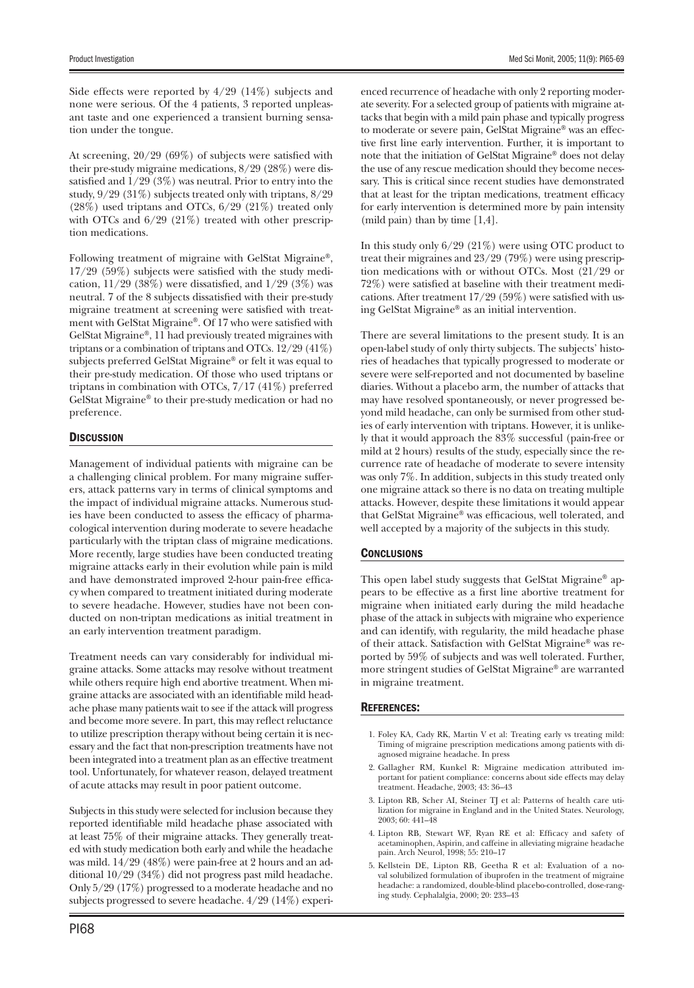Side effects were reported by 4/29 (14%) subjects and none were serious. Of the 4 patients, 3 reported unpleasant taste and one experienced a transient burning sensation under the tongue.

At screening,  $20/29$  (69%) of subjects were satisfied with their pre-study migraine medications, 8/29 (28%) were dissatisfied and  $1/29$  (3%) was neutral. Prior to entry into the study, 9/29 (31%) subjects treated only with triptans, 8/29  $(28\%)$  used triptans and OTCs,  $6/29$   $(21\%)$  treated only with OTCs and 6/29 (21%) treated with other prescription medications.

Following treatment of migraine with GelStat Migraine®,  $17/29$  (59%) subjects were satisfied with the study medication,  $11/29$  (38%) were dissatisfied, and  $1/29$  (3%) was neutral. 7 of the 8 subjects dissatisfied with their pre-study migraine treatment at screening were satisfied with treatment with GelStat Migraine®. Of 17 who were satisfied with GelStat Migraine®, 11 had previously treated migraines with triptans or a combination of triptans and OTCs. 12/29 (41%) subjects preferred GelStat Migraine® or felt it was equal to their pre-study medication. Of those who used triptans or triptans in combination with OTCs, 7/17 (41%) preferred GelStat Migraine® to their pre-study medication or had no preference.

# **DISCUSSION**

Management of individual patients with migraine can be a challenging clinical problem. For many migraine sufferers, attack patterns vary in terms of clinical symptoms and the impact of individual migraine attacks. Numerous studies have been conducted to assess the efficacy of pharmacological intervention during moderate to severe headache particularly with the triptan class of migraine medications. More recently, large studies have been conducted treating migraine attacks early in their evolution while pain is mild and have demonstrated improved 2-hour pain-free efficacy when compared to treatment initiated during moderate to severe headache. However, studies have not been conducted on non-triptan medications as initial treatment in an early intervention treatment paradigm.

Treatment needs can vary considerably for individual migraine attacks. Some attacks may resolve without treatment while others require high end abortive treatment. When migraine attacks are associated with an identifiable mild headache phase many patients wait to see if the attack will progress and become more severe. In part, this may reflect reluctance to utilize prescription therapy without being certain it is necessary and the fact that non-prescription treatments have not been integrated into a treatment plan as an effective treatment tool. Unfortunately, for whatever reason, delayed treatment of acute attacks may result in poor patient outcome.

Subjects in this study were selected for inclusion because they reported identifiable mild headache phase associated with at least 75% of their migraine attacks. They generally treated with study medication both early and while the headache was mild. 14/29 (48%) were pain-free at 2 hours and an additional 10/29 (34%) did not progress past mild headache. Only 5/29 (17%) progressed to a moderate headache and no subjects progressed to severe headache. 4/29 (14%) experi-

PI68

enced recurrence of headache with only 2 reporting moderate severity. For a selected group of patients with migraine attacks that begin with a mild pain phase and typically progress to moderate or severe pain, GelStat Migraine® was an effective first line early intervention. Further, it is important to note that the initiation of GelStat Migraine® does not delay the use of any rescue medication should they become necessary. This is critical since recent studies have demonstrated that at least for the triptan medications, treatment efficacy for early intervention is determined more by pain intensity (mild pain) than by time [1,4].

In this study only 6/29 (21%) were using OTC product to treat their migraines and 23/29 (79%) were using prescription medications with or without OTCs. Most (21/29 or 72%) were satisfied at baseline with their treatment medications. After treatment  $17/29$  (59%) were satisfied with using GelStat Migraine® as an initial intervention.

There are several limitations to the present study. It is an open-label study of only thirty subjects. The subjects' histories of headaches that typically progressed to moderate or severe were self-reported and not documented by baseline diaries. Without a placebo arm, the number of attacks that may have resolved spontaneously, or never progressed beyond mild headache, can only be surmised from other studies of early intervention with triptans. However, it is unlikely that it would approach the 83% successful (pain-free or mild at 2 hours) results of the study, especially since the recurrence rate of headache of moderate to severe intensity was only 7%. In addition, subjects in this study treated only one migraine attack so there is no data on treating multiple attacks. However, despite these limitations it would appear that GelStat Migraine® was efficacious, well tolerated, and well accepted by a majority of the subjects in this study.

# **CONCLUSIONS**

This open label study suggests that GelStat Migraine<sup>®</sup> appears to be effective as a first line abortive treatment for migraine when initiated early during the mild headache phase of the attack in subjects with migraine who experience and can identify, with regularity, the mild headache phase of their attack. Satisfaction with GelStat Migraine® was reported by 59% of subjects and was well tolerated. Further, more stringent studies of GelStat Migraine® are warranted in migraine treatment.

### REFERENCES:

- 1. Foley KA, Cady RK, Martin V et al: Treating early vs treating mild: Timing of migraine prescription medications among patients with diagnosed migraine headache. In press
- 2. Gallagher RM, Kunkel R: Migraine medication attributed important for patient compliance: concerns about side effects may delay treatment. Headache, 2003; 43: 36–43
- 3. Lipton RB, Scher AI, Steiner TJ et al: Patterns of health care utilization for migraine in England and in the United States. Neurology, 2003; 60: 441–48
- 4. Lipton RB, Stewart WF, Ryan RE et al: Efficacy and safety of acetaminophen, Aspirin, and caffeine in alleviating migraine headache pain. Arch Neurol, 1998; 55: 210–17
- 5. Kellstein DE, Lipton RB, Geetha R et al: Evaluation of a noval solubilized formulation of ibuprofen in the treatment of migraine headache: a randomized, double-blind placebo-controlled, dose-ranging study. Cephalalgia, 2000; 20: 233–43